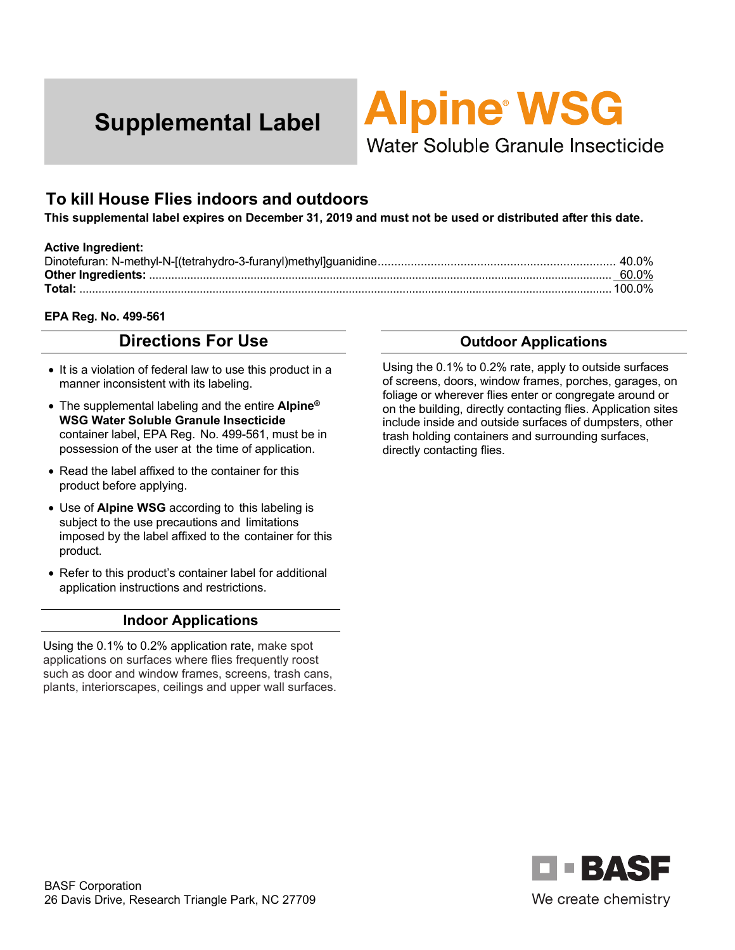

# **To kill House Flies indoors and outdoors**

**This supplemental label expires on December 31, 2019 and must not be used or distributed after this date.** 

#### **Active Ingredient:**

|        | 60.0% |
|--------|-------|
| Total: |       |

#### **EPA Reg. No. 499-561**

# **Directions For Use**

- It is a violation of federal law to use this product in a manner inconsistent with its labeling.
- The supplemental labeling and the entire **Alpine® WSG Water Soluble Granule Insecticide**  container label, EPA Reg. No. 499-561, must be in possession of the user at the time of application.
- Read the label affixed to the container for this product before applying.
- Use of **Alpine WSG** according to this labeling is subject to the use precautions and limitations imposed by the label affixed to the container for this product.
- Refer to this product's container label for additional application instructions and restrictions.

#### **Indoor Applications**

Using the 0.1% to 0.2% application rate, make spot applications on surfaces where flies frequently roost such as door and window frames, screens, trash cans, plants, interiorscapes, ceilings and upper wall surfaces.

#### **Outdoor Applications**

Using the 0.1% to 0.2% rate, apply to outside surfaces of screens, doors, window frames, porches, garages, on foliage or wherever flies enter or congregate around or on the building, directly contacting flies. Application sites include inside and outside surfaces of dumpsters, other trash holding containers and surrounding surfaces, directly contacting flies.

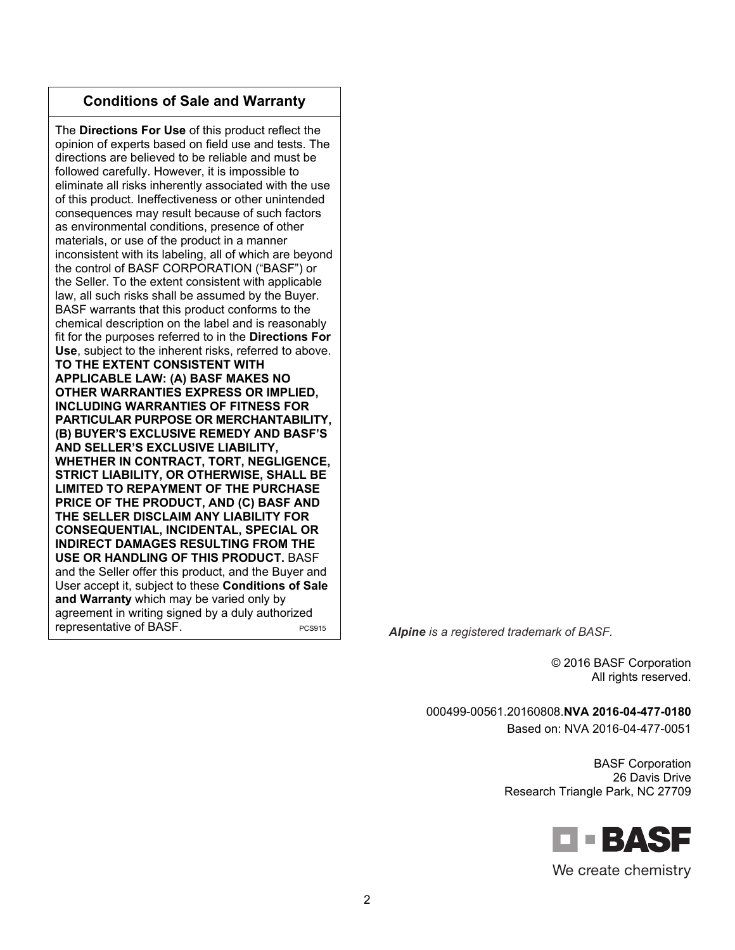The **Directions For Use** of this product reflect the opinion of experts based on field use and tests. The directions are believed to be reliable and must be followed carefully. However, it is impossible to eliminate all risks inherently associated with the use of this product. Ineffectiveness or other unintended consequences may result because of such factors as environmental conditions, presence of other materials, or use of the product in a manner inconsistent with its labeling, all of which are beyond the control of BASF CORPORATION ("BASF") or the Seller. To the extent consistent with applicable law, all such risks shall be assumed by the Buyer. BASF warrants that this product conforms to the chemical description on the label and is reasonably fit for the purposes referred to in the **Directions For Use**, subject to the inherent risks, referred to above. **TO THE EXTENT CONSISTENT WITH APPLICABLE LAW: (A) BASF MAKES NO OTHER WARRANTIES EXPRESS OR IMPLIED, INCLUDING WARRANTIES OF FITNESS FOR PARTICULAR PURPOSE OR MERCHANTABILITY, (B) BUYER'S EXCLUSIVE REMEDY AND BASF'S AND SELLER'S EXCLUSIVE LIABILITY, WHETHER IN CONTRACT, TORT, NEGLIGENCE, STRICT LIABILITY, OR OTHERWISE, SHALL BE LIMITED TO REPAYMENT OF THE PURCHASE PRICE OF THE PRODUCT, AND (C) BASF AND THE SELLER DISCLAIM ANY LIABILITY FOR CONSEQUENTIAL, INCIDENTAL, SPECIAL OR INDIRECT DAMAGES RESULTING FROM THE USE OR HANDLING OF THIS PRODUCT.** BASF and the Seller offer this product, and the Buyer and User accept it, subject to these **Conditions of Sale and Warranty** which may be varied only by agreement in writing signed by a duly authorized **representative of BASF.** PCS915 **Alpine** is a registered trademark of BASF.

© 2016 BASF Corporation All rights reserved.

000499-00561.20160808.**NVA 2016-04-477-0180** 

Based on: NVA 2016-04-477-0051

BASF Corporation 26 Davis Drive Research Triangle Park, NC 27709

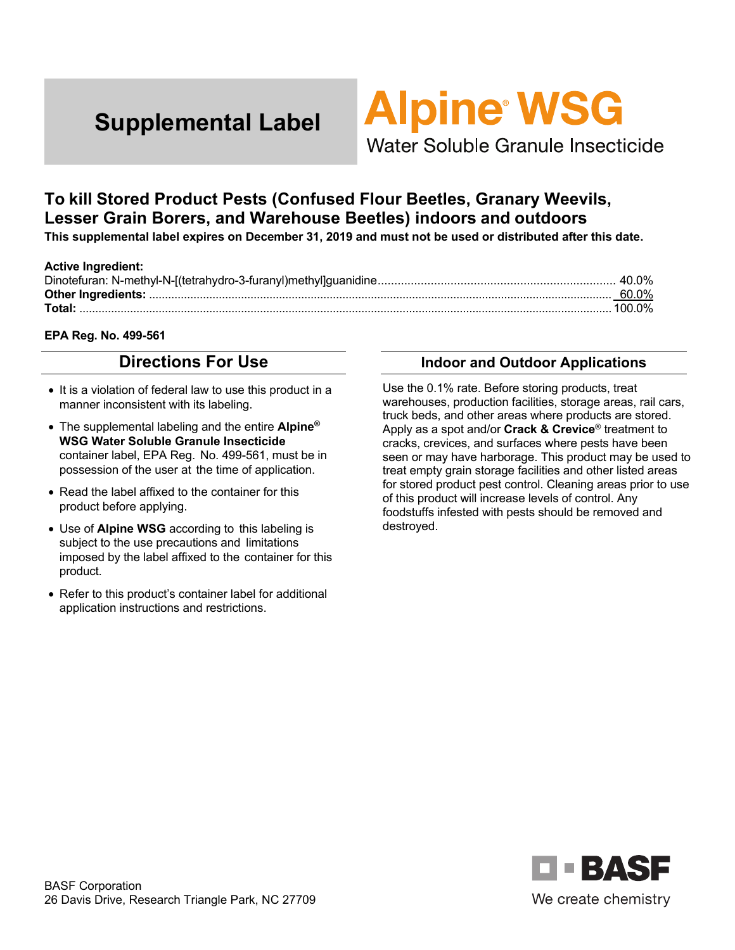# **Alpine WSG**

Water Soluble Granule Insecticide

# **To kill Stored Product Pests (Confused Flour Beetles, Granary Weevils, Lesser Grain Borers, and Warehouse Beetles) indoors and outdoors**

**This supplemental label expires on December 31, 2019 and must not be used or distributed after this date.** 

#### **Active Ingredient:**  Dinotefuran: N-methyl-N-[(tetrahydro-3-furanyl)methyl]guanidine ........................................................................ 40.0% **Other Ingredients:** .................................................................................................................................................. 60.0% **Total:** ........................................................................................................................................................................ 100.0%

#### **EPA Reg. No. 499-561**

# **Directions For Use**

- It is a violation of federal law to use this product in a manner inconsistent with its labeling.
- The supplemental labeling and the entire **Alpine® WSG Water Soluble Granule Insecticide**  container label, EPA Reg. No. 499-561, must be in possession of the user at the time of application.
- Read the label affixed to the container for this product before applying.
- Use of **Alpine WSG** according to this labeling is subject to the use precautions and limitations imposed by the label affixed to the container for this product.
- Refer to this product's container label for additional application instructions and restrictions.

## **Indoor and Outdoor Applications**

Use the 0.1% rate. Before storing products, treat warehouses, production facilities, storage areas, rail cars, truck beds, and other areas where products are stored. Apply as a spot and/or **Crack & Crevice**® treatment to cracks, crevices, and surfaces where pests have been seen or may have harborage. This product may be used to treat empty grain storage facilities and other listed areas for stored product pest control. Cleaning areas prior to use of this product will increase levels of control. Any foodstuffs infested with pests should be removed and destroyed.

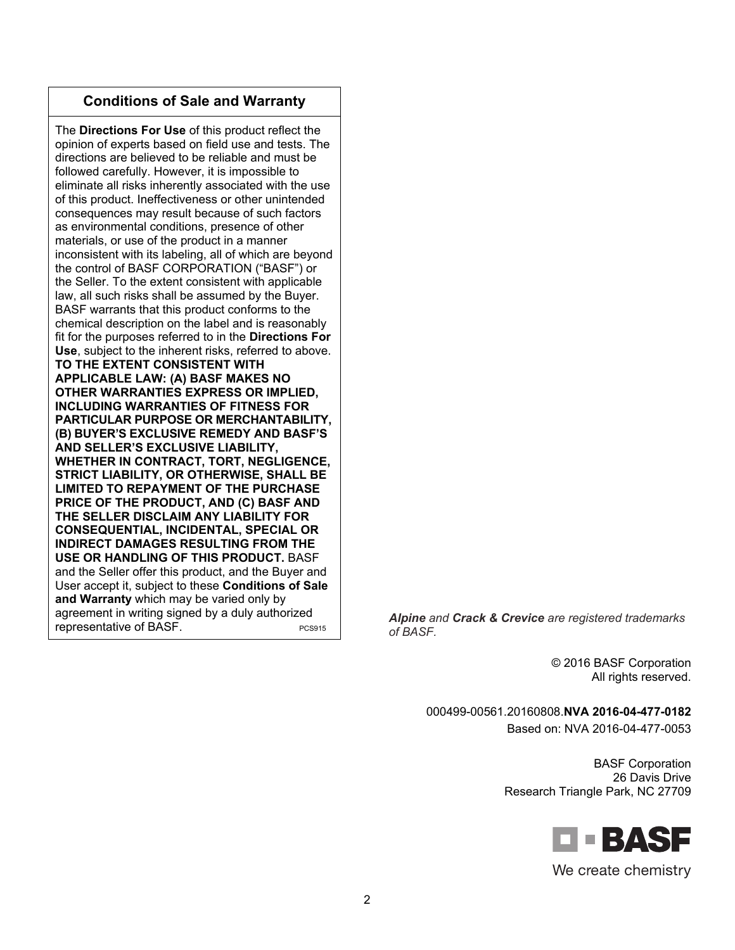The **Directions For Use** of this product reflect the opinion of experts based on field use and tests. The directions are believed to be reliable and must be followed carefully. However, it is impossible to eliminate all risks inherently associated with the use of this product. Ineffectiveness or other unintended consequences may result because of such factors as environmental conditions, presence of other materials, or use of the product in a manner inconsistent with its labeling, all of which are beyond the control of BASF CORPORATION ("BASF") or the Seller. To the extent consistent with applicable law, all such risks shall be assumed by the Buyer. BASF warrants that this product conforms to the chemical description on the label and is reasonably fit for the purposes referred to in the **Directions For Use**, subject to the inherent risks, referred to above. **TO THE EXTENT CONSISTENT WITH APPLICABLE LAW: (A) BASF MAKES NO OTHER WARRANTIES EXPRESS OR IMPLIED, INCLUDING WARRANTIES OF FITNESS FOR PARTICULAR PURPOSE OR MERCHANTABILITY, (B) BUYER'S EXCLUSIVE REMEDY AND BASF'S AND SELLER'S EXCLUSIVE LIABILITY, WHETHER IN CONTRACT, TORT, NEGLIGENCE, STRICT LIABILITY, OR OTHERWISE, SHALL BE LIMITED TO REPAYMENT OF THE PURCHASE PRICE OF THE PRODUCT, AND (C) BASF AND THE SELLER DISCLAIM ANY LIABILITY FOR CONSEQUENTIAL, INCIDENTAL, SPECIAL OR INDIRECT DAMAGES RESULTING FROM THE USE OR HANDLING OF THIS PRODUCT.** BASF and the Seller offer this product, and the Buyer and User accept it, subject to these **Conditions of Sale and Warranty** which may be varied only by agreement in writing signed by a duly authorized

agreement in whing signed by a duly admiorized<br>*PCS915* **Alpine and Crack & Crevice** are registered trademarks *of PASE of BASF.* 

> © 2016 BASF Corporation All rights reserved.

000499-00561.20160808.**NVA 2016-04-477-0182** 

Based on: NVA 2016-04-477-0053

BASF Corporation 26 Davis Drive Research Triangle Park, NC 27709

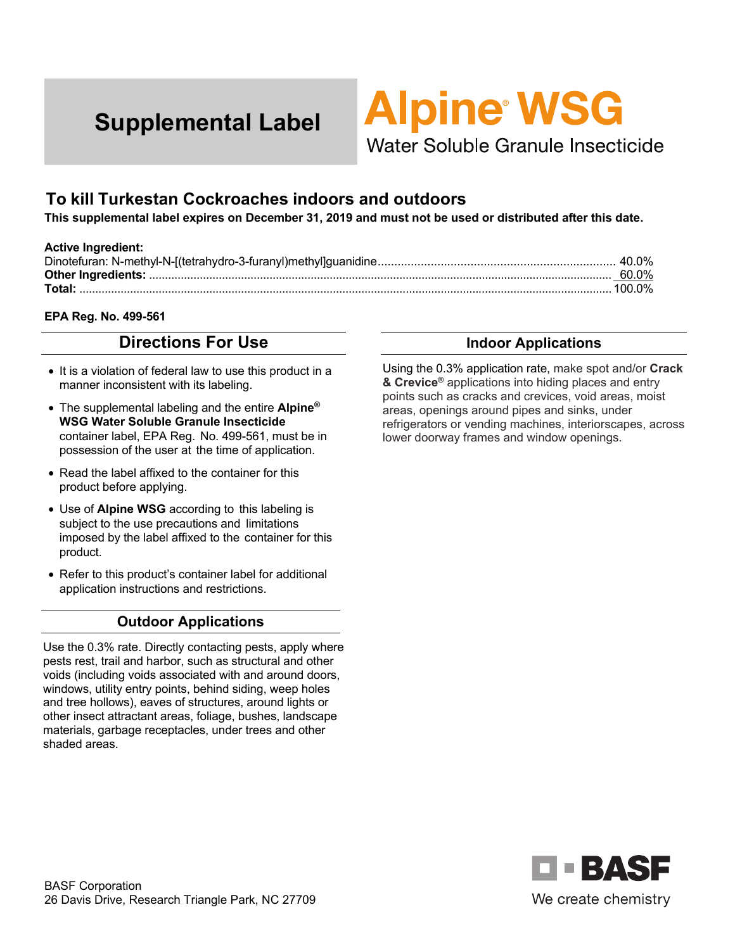

# **To kill Turkestan Cockroaches indoors and outdoors**

**This supplemental label expires on December 31, 2019 and must not be used or distributed after this date.** 

#### **Active Ingredient:**

|        | 60.0% |
|--------|-------|
| Total: |       |

#### **EPA Reg. No. 499-561**

# **Directions For Use**

- It is a violation of federal law to use this product in a manner inconsistent with its labeling.
- The supplemental labeling and the entire **Alpine® WSG Water Soluble Granule Insecticide**  container label, EPA Reg. No. 499-561, must be in possession of the user at the time of application.
- Read the label affixed to the container for this product before applying.
- Use of **Alpine WSG** according to this labeling is subject to the use precautions and limitations imposed by the label affixed to the container for this product.
- Refer to this product's container label for additional application instructions and restrictions.

#### **Outdoor Applications**

Use the 0.3% rate. Directly contacting pests, apply where pests rest, trail and harbor, such as structural and other voids (including voids associated with and around doors, windows, utility entry points, behind siding, weep holes and tree hollows), eaves of structures, around lights or other insect attractant areas, foliage, bushes, landscape materials, garbage receptacles, under trees and other shaded areas.

#### **Indoor Applications**

Using the 0.3% application rate, make spot and/or **Crack & Crevice®** applications into hiding places and entry points such as cracks and crevices, void areas, moist areas, openings around pipes and sinks, under refrigerators or vending machines, interiorscapes, across lower doorway frames and window openings.

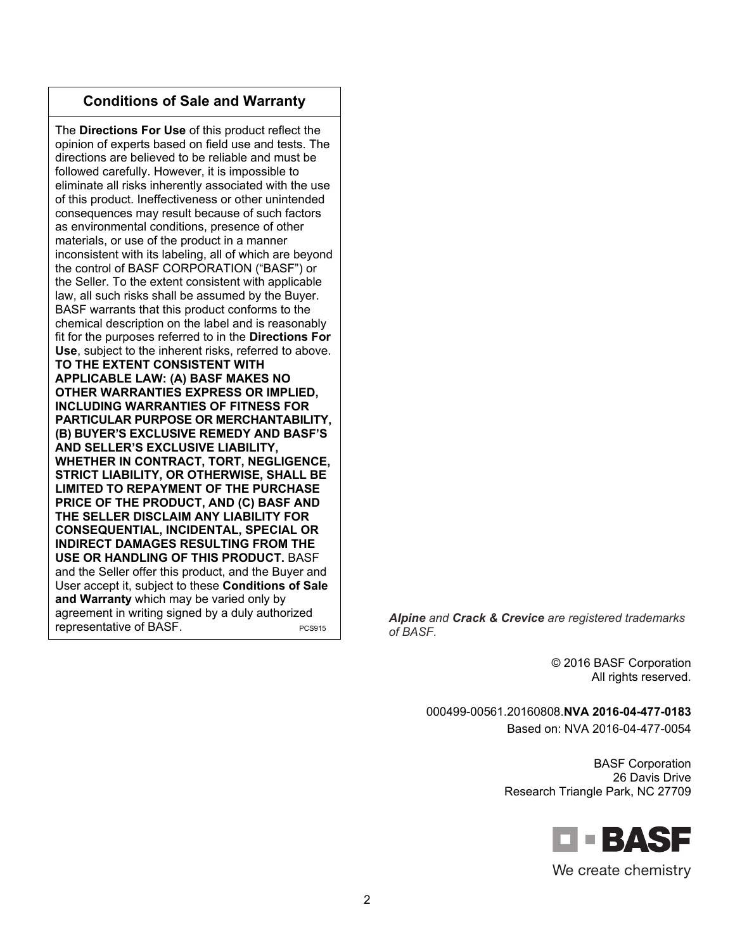The **Directions For Use** of this product reflect the opinion of experts based on field use and tests. The directions are believed to be reliable and must be followed carefully. However, it is impossible to eliminate all risks inherently associated with the use of this product. Ineffectiveness or other unintended consequences may result because of such factors as environmental conditions, presence of other materials, or use of the product in a manner inconsistent with its labeling, all of which are beyond the control of BASF CORPORATION ("BASF") or the Seller. To the extent consistent with applicable law, all such risks shall be assumed by the Buyer. BASF warrants that this product conforms to the chemical description on the label and is reasonably fit for the purposes referred to in the **Directions For Use**, subject to the inherent risks, referred to above. **TO THE EXTENT CONSISTENT WITH APPLICABLE LAW: (A) BASF MAKES NO OTHER WARRANTIES EXPRESS OR IMPLIED, INCLUDING WARRANTIES OF FITNESS FOR PARTICULAR PURPOSE OR MERCHANTABILITY, (B) BUYER'S EXCLUSIVE REMEDY AND BASF'S AND SELLER'S EXCLUSIVE LIABILITY, WHETHER IN CONTRACT, TORT, NEGLIGENCE, STRICT LIABILITY, OR OTHERWISE, SHALL BE LIMITED TO REPAYMENT OF THE PURCHASE PRICE OF THE PRODUCT, AND (C) BASF AND THE SELLER DISCLAIM ANY LIABILITY FOR CONSEQUENTIAL, INCIDENTAL, SPECIAL OR INDIRECT DAMAGES RESULTING FROM THE USE OR HANDLING OF THIS PRODUCT.** BASF and the Seller offer this product, and the Buyer and User accept it, subject to these **Conditions of Sale and Warranty** which may be varied only by agreement in writing signed by a duly authorized

agreement in whing signed by a duly admiorized<br>*PCS915* **Alpine and Crack & Crevice** are registered trademarks *of PASE of BASF.* 

> © 2016 BASF Corporation All rights reserved.

000499-00561.20160808.**NVA 2016-04-477-0183** 

Based on: NVA 2016-04-477-0054

BASF Corporation 26 Davis Drive Research Triangle Park, NC 27709

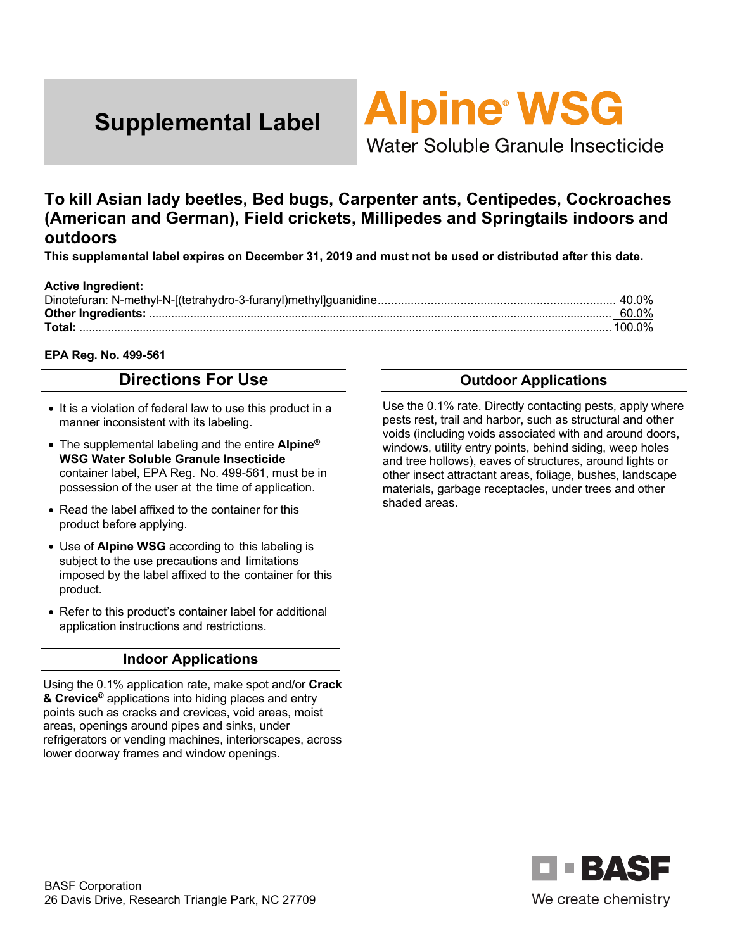

Water Soluble Granule Insecticide

# **To kill Asian lady beetles, Bed bugs, Carpenter ants, Centipedes, Cockroaches (American and German), Field crickets, Millipedes and Springtails indoors and outdoors**

**This supplemental label expires on December 31, 2019 and must not be used or distributed after this date.** 

#### **Active Ingredient:**

#### **EPA Reg. No. 499-561**

# **Directions For Use**

- It is a violation of federal law to use this product in a manner inconsistent with its labeling.
- The supplemental labeling and the entire **Alpine® WSG Water Soluble Granule Insecticide**  container label, EPA Reg. No. 499-561, must be in possession of the user at the time of application.
- Read the label affixed to the container for this product before applying.
- Use of **Alpine WSG** according to this labeling is subject to the use precautions and limitations imposed by the label affixed to the container for this product.
- Refer to this product's container label for additional application instructions and restrictions.

#### **Indoor Applications**

Using the 0.1% application rate, make spot and/or **Crack & Crevice®** applications into hiding places and entry points such as cracks and crevices, void areas, moist areas, openings around pipes and sinks, under refrigerators or vending machines, interiorscapes, across lower doorway frames and window openings.

## **Outdoor Applications**

Use the 0.1% rate. Directly contacting pests, apply where pests rest, trail and harbor, such as structural and other voids (including voids associated with and around doors, windows, utility entry points, behind siding, weep holes and tree hollows), eaves of structures, around lights or other insect attractant areas, foliage, bushes, landscape materials, garbage receptacles, under trees and other shaded areas.